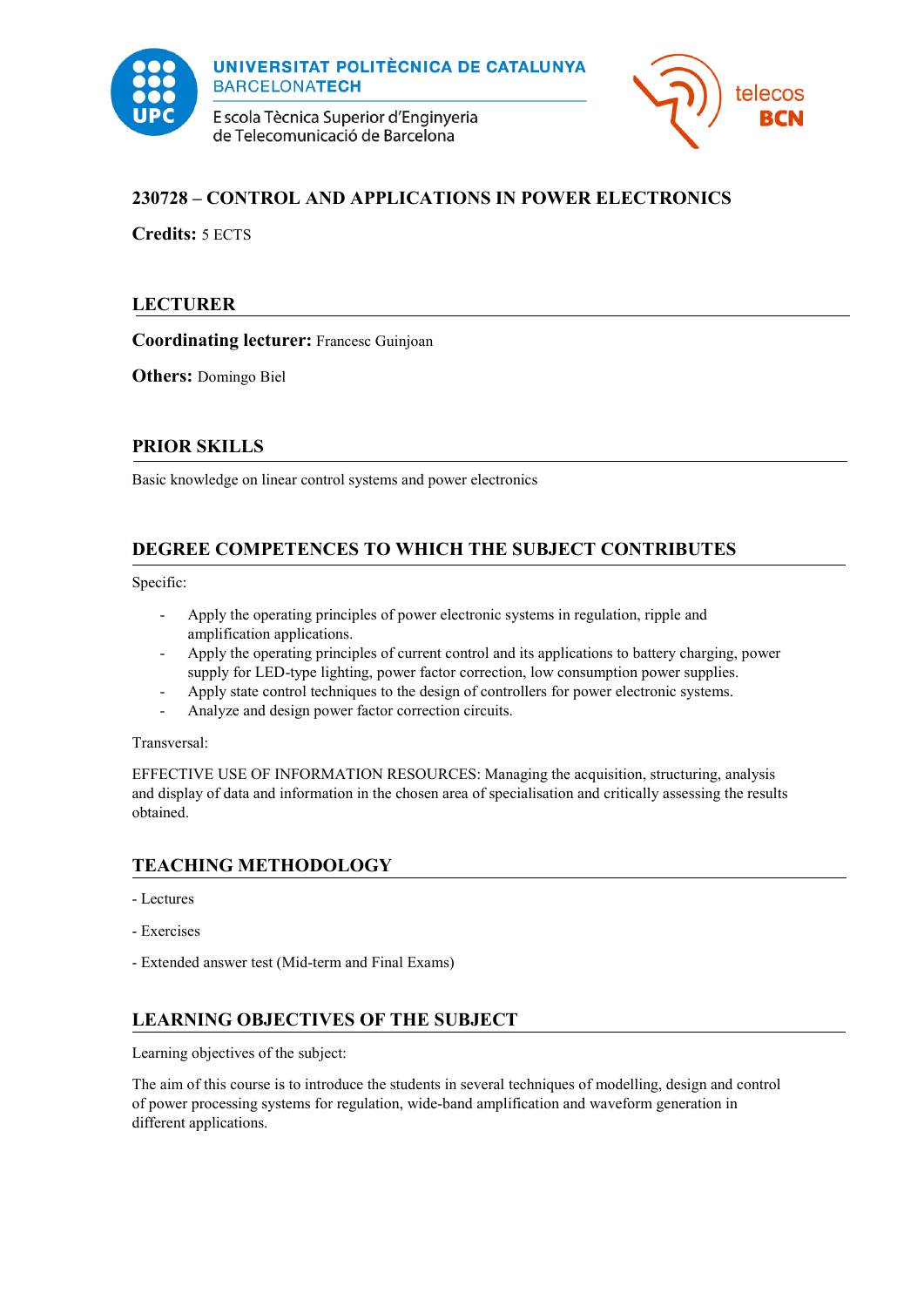

E scola Tècnica Superior d'Enginyeria de Telecomunicació de Barcelona



## **230728 – CONTROL AND APPLICATIONS IN POWER ELECTRONICS**

**Credits:** 5 ECTS

### **LECTURER**

**Coordinating lecturer:** Francesc Guinjoan

**Others:** Domingo Biel

### **PRIOR SKILLS**

Basic knowledge on linear control systems and power electronics

## **DEGREE COMPETENCES TO WHICH THE SUBJECT CONTRIBUTES**

Specific:

- Apply the operating principles of power electronic systems in regulation, ripple and amplification applications.
- Apply the operating principles of current control and its applications to battery charging, power supply for LED-type lighting, power factor correction, low consumption power supplies.
- Apply state control techniques to the design of controllers for power electronic systems.
- Analyze and design power factor correction circuits.

Transversal:

EFFECTIVE USE OF INFORMATION RESOURCES: Managing the acquisition, structuring, analysis and display of data and information in the chosen area of specialisation and critically assessing the results obtained.

## **TEACHING METHODOLOGY**

- Lectures
- Exercises
- Extended answer test (Mid-term and Final Exams)

## **LEARNING OBJECTIVES OF THE SUBJECT**

Learning objectives of the subject:

The aim of this course is to introduce the students in several techniques of modelling, design and control of power processing systems for regulation, wide-band amplification and waveform generation in different applications.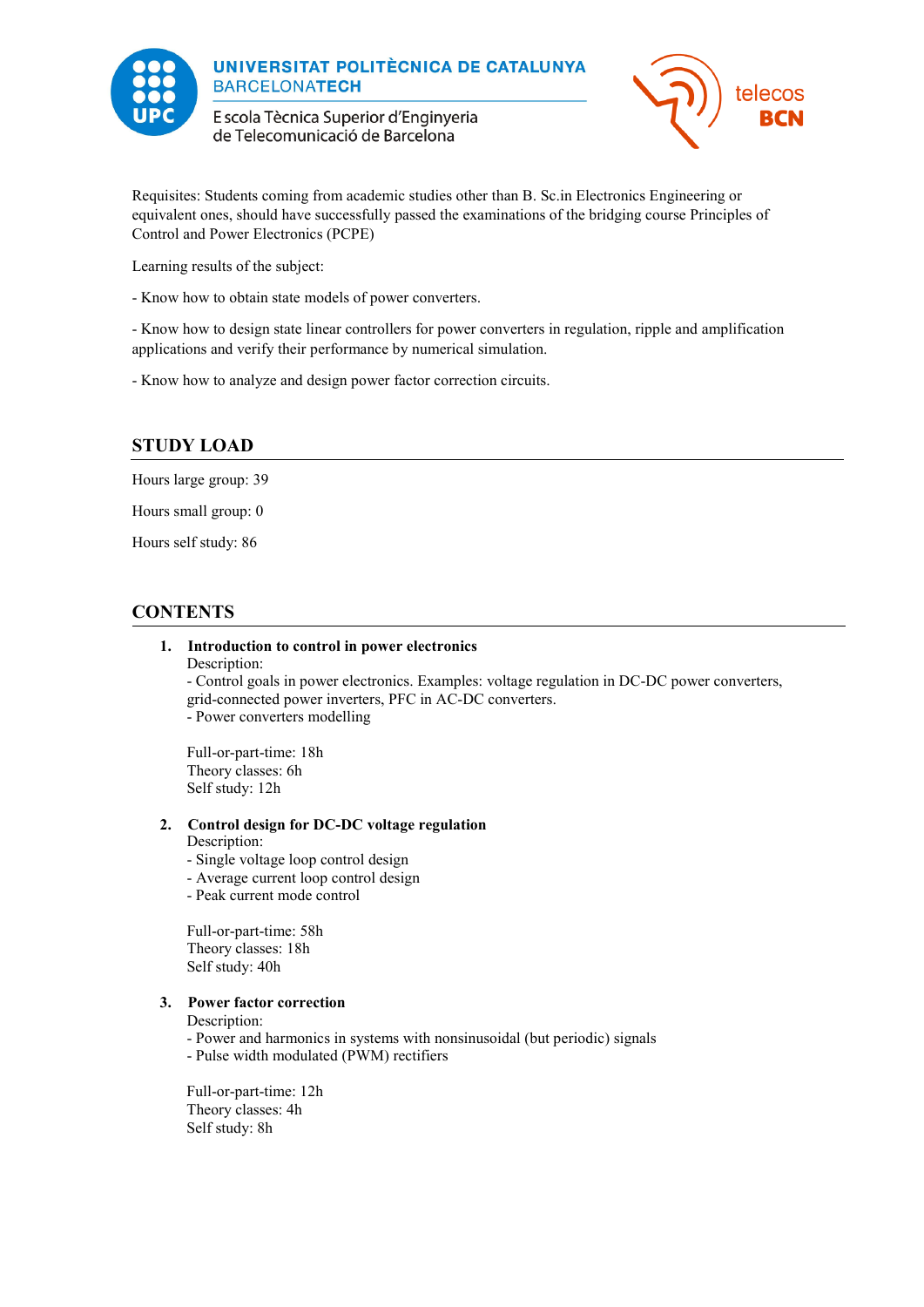

E scola Tècnica Superior d'Enginyeria de Telecomunicació de Barcelona



Requisites: Students coming from academic studies other than B. Sc.in Electronics Engineering or equivalent ones, should have successfully passed the examinations of the bridging course Principles of Control and Power Electronics (PCPE)

Learning results of the subject:

- Know how to obtain state models of power converters.

- Know how to design state linear controllers for power converters in regulation, ripple and amplification applications and verify their performance by numerical simulation.

- Know how to analyze and design power factor correction circuits.

### **STUDY LOAD**

Hours large group: 39

Hours small group: 0

Hours self study: 86

### **CONTENTS**

#### **1. Introduction to control in power electronics**

Description:

- Control goals in power electronics. Examples: voltage regulation in DC-DC power converters, grid-connected power inverters, PFC in AC-DC converters. - Power converters modelling

Full-or-part-time: 18h Theory classes: 6h Self study: 12h

#### **2. Control design for DC-DC voltage regulation**

#### Description:

- Single voltage loop control design
- Average current loop control design
- Peak current mode control

Full-or-part-time: 58h Theory classes: 18h Self study: 40h

#### **3. Power factor correction**

Description:

- Power and harmonics in systems with nonsinusoidal (but periodic) signals
- Pulse width modulated (PWM) rectifiers

Full-or-part-time: 12h Theory classes: 4h Self study: 8h